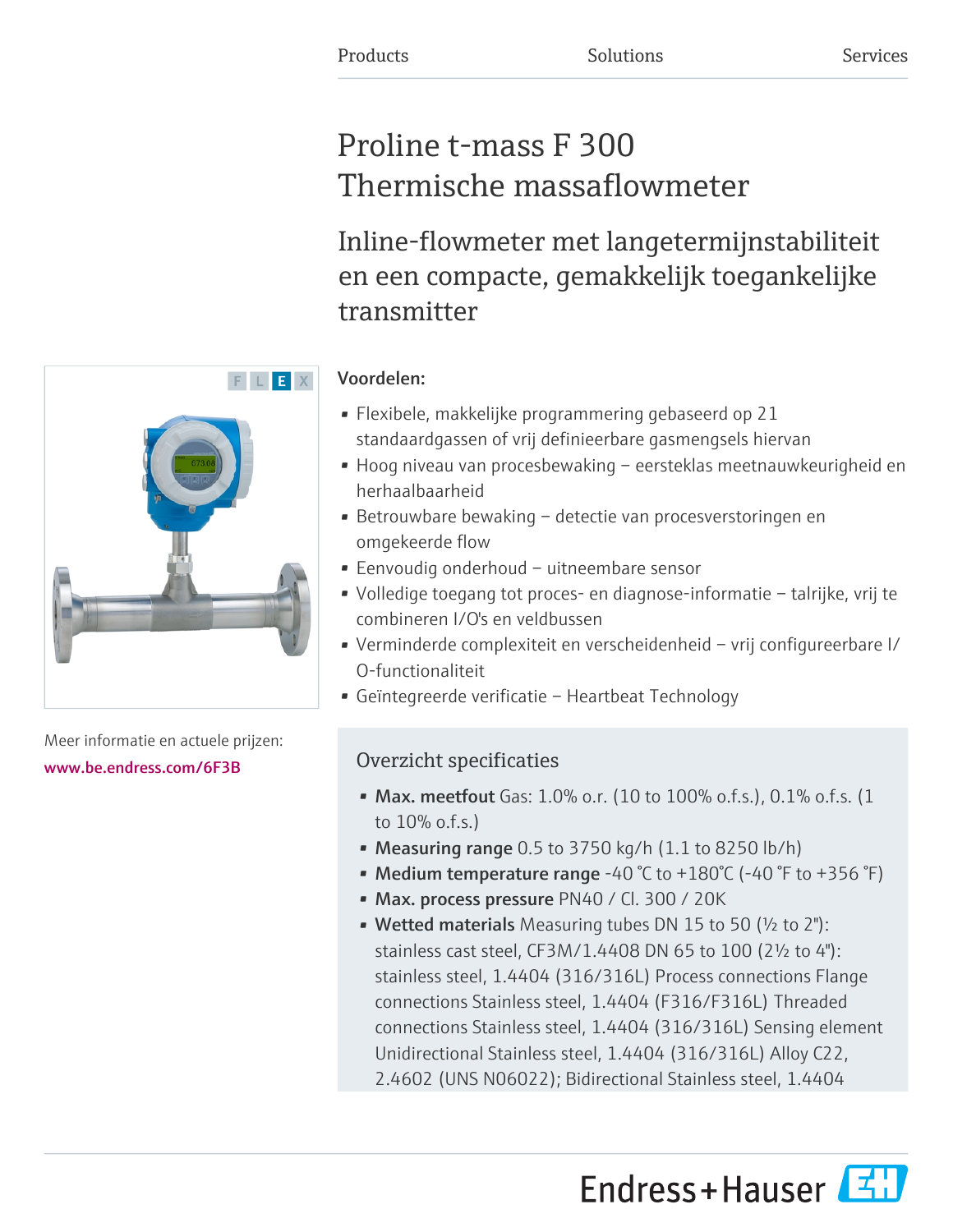# Proline t-mass F 300 Thermische massaflowmeter

Inline-flowmeter met langetermijnstabiliteit en een compacte, gemakkelijk toegankelijke transmitter

# Voordelen:

- Flexibele, makkelijke programmering gebaseerd op 21 standaardgassen of vrij definieerbare gasmengsels hiervan
- Hoog niveau van procesbewaking eersteklas meetnauwkeurigheid en herhaalbaarheid
- Betrouwbare bewaking detectie van procesverstoringen en omgekeerde flow
- Eenvoudig onderhoud uitneembare sensor
- Volledige toegang tot proces- en diagnose-informatie talrijke, vrij te combineren I/O's en veldbussen
- Verminderde complexiteit en verscheidenheid vrij configureerbare I/ O-functionaliteit
- Geïntegreerde verificatie Heartbeat Technology

# Overzicht specificaties

- Max. meetfout Gas:  $1.0\%$  o.r. (10 to  $100\%$  o.f.s.), 0.1% o.f.s. (1 to 10% o.f.s.)
- Measuring range  $0.5$  to 3750 kg/h  $(1.1$  to 8250 lb/h)
- Medium temperature range -40 °C to +180°C (-40 °F to +356 °F)
- Max. process pressure PN40 / Cl. 300 / 20K
- Wetted materials Measuring tubes DN 15 to 50 (½ to 2"): stainless cast steel, CF3M/1.4408 DN 65 to 100 (2½ to 4"): stainless steel, 1.4404 (316/316L) Process connections Flange connections Stainless steel, 1.4404 (F316/F316L) Threaded connections Stainless steel, 1.4404 (316/316L) Sensing element Unidirectional Stainless steel, 1.4404 (316/316L) Alloy C22, 2.4602 (UNS N06022); Bidirectional Stainless steel, 1.4404





Meer informatie en actuele prijzen: [www.be.endress.com/6F3B](https://www.be.endress.com/6F3B)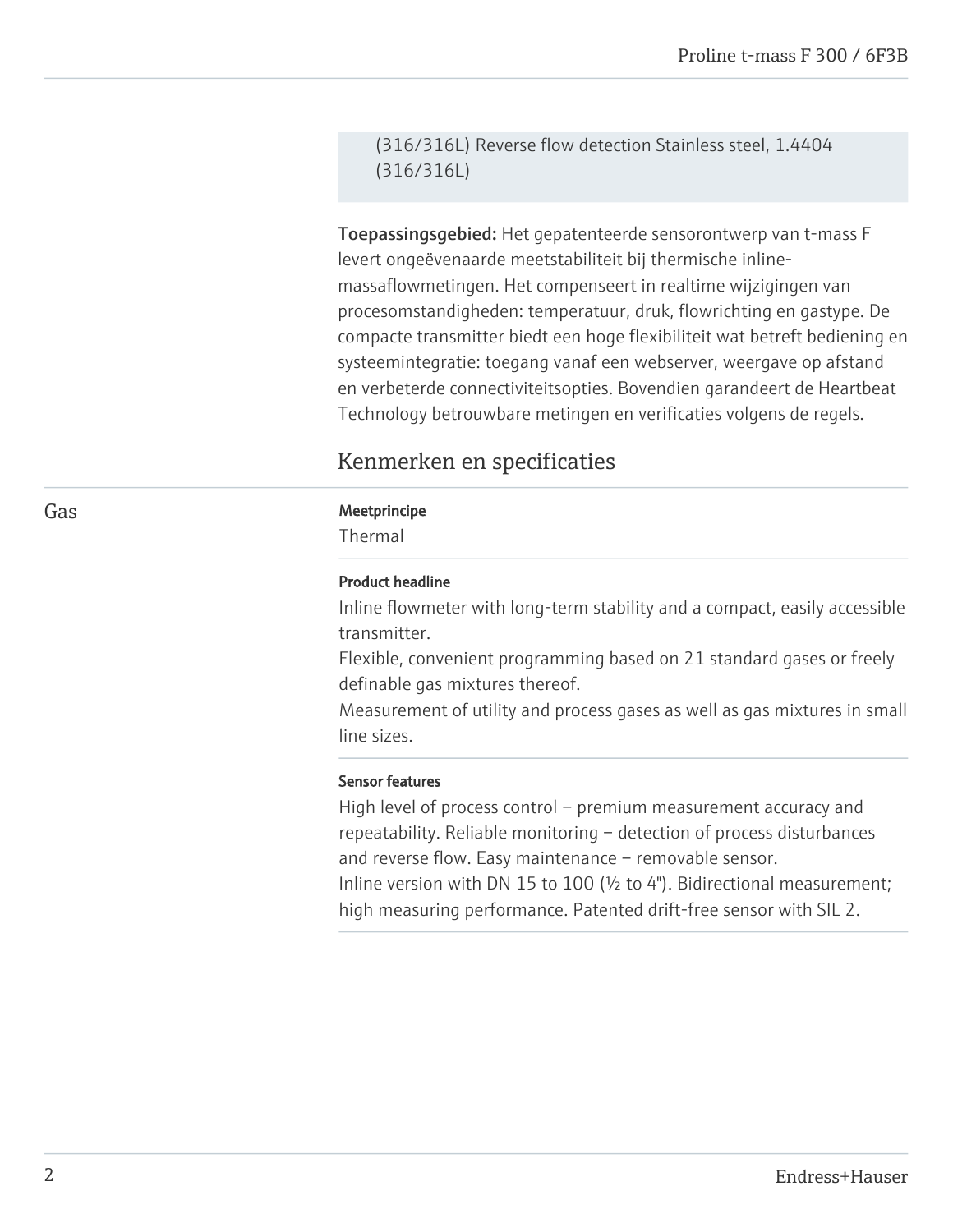(316/316L) Reverse flow detection Stainless steel, 1.4404 (316/316L)

Toepassingsgebied: Het gepatenteerde sensorontwerp van t-mass F levert ongeëvenaarde meetstabiliteit bij thermische inlinemassaflowmetingen. Het compenseert in realtime wijzigingen van procesomstandigheden: temperatuur, druk, flowrichting en gastype. De compacte transmitter biedt een hoge flexibiliteit wat betreft bediening en systeemintegratie: toegang vanaf een webserver, weergave op afstand en verbeterde connectiviteitsopties. Bovendien garandeert de Heartbeat Technology betrouwbare metingen en verificaties volgens de regels.

# Kenmerken en specificaties

#### Gas **Gas** Meetprincipe

Thermal

# Product headline

Inline flowmeter with long-term stability and a compact, easily accessible transmitter.

Flexible, convenient programming based on 21 standard gases or freely definable gas mixtures thereof.

Measurement of utility and process gases as well as gas mixtures in small line sizes.

#### Sensor features

High level of process control – premium measurement accuracy and repeatability. Reliable monitoring – detection of process disturbances and reverse flow. Easy maintenance – removable sensor. Inline version with DN 15 to 100 (½ to 4"). Bidirectional measurement; high measuring performance. Patented drift-free sensor with SIL 2.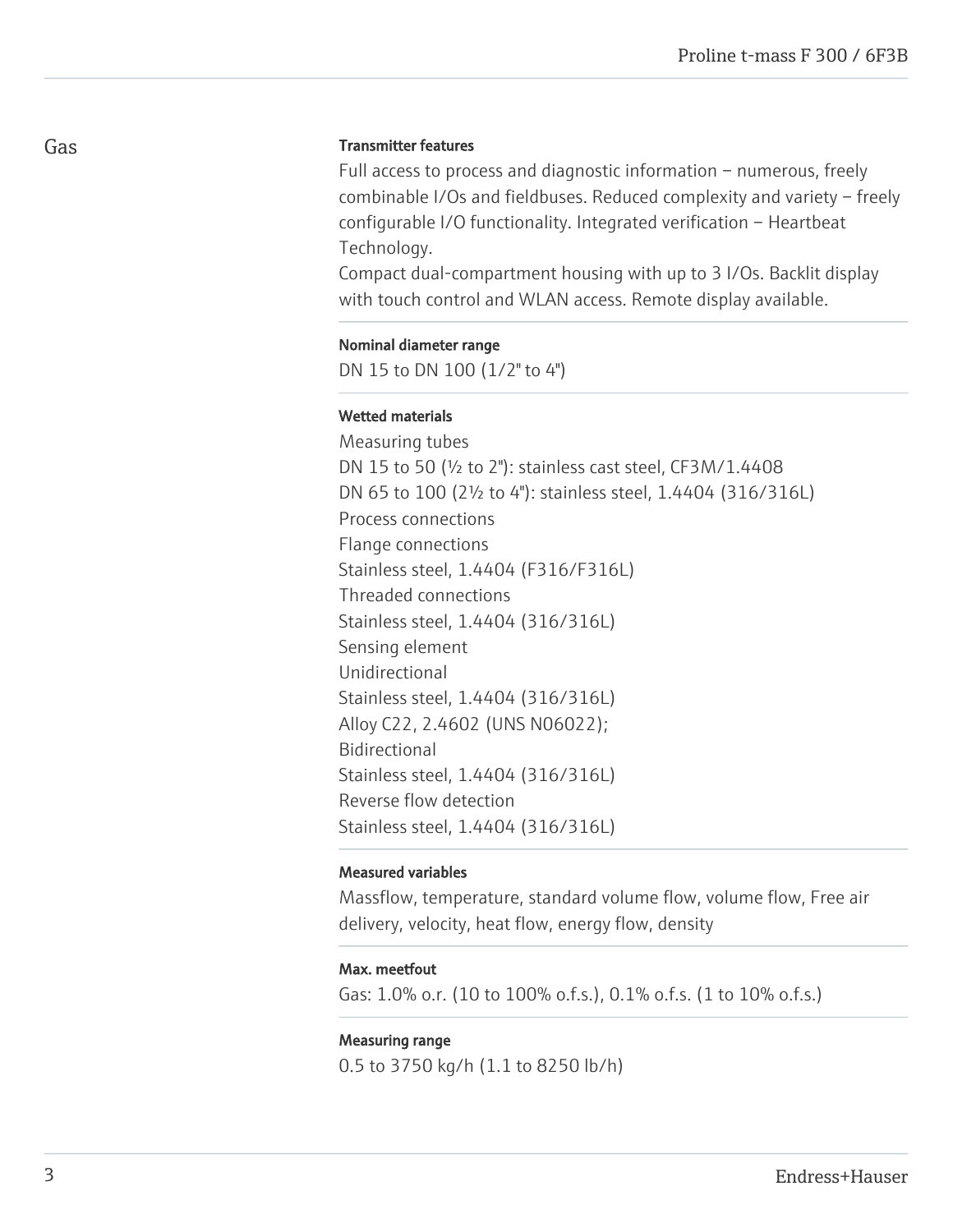# Transmitter features

Full access to process and diagnostic information – numerous, freely combinable I/Os and fieldbuses. Reduced complexity and variety – freely configurable I/O functionality. Integrated verification – Heartbeat Technology.

Compact dual-compartment housing with up to 3 I/Os. Backlit display with touch control and WLAN access. Remote display available.

#### Nominal diameter range

DN 15 to DN 100 (1/2" to 4")

# Wetted materials

Measuring tubes DN 15 to 50 (½ to 2"): stainless cast steel, CF3M/1.4408 DN 65 to 100 (2½ to 4"): stainless steel, 1.4404 (316/316L) Process connections Flange connections Stainless steel, 1.4404 (F316/F316L) Threaded connections Stainless steel, 1.4404 (316/316L) Sensing element Unidirectional Stainless steel, 1.4404 (316/316L) Alloy C22, 2.4602 (UNS N06022); Bidirectional Stainless steel, 1.4404 (316/316L) Reverse flow detection Stainless steel, 1.4404 (316/316L)

## Measured variables

Massflow, temperature, standard volume flow, volume flow, Free air delivery, velocity, heat flow, energy flow, density

#### Max. meetfout

Gas: 1.0% o.r. (10 to 100% o.f.s.), 0.1% o.f.s. (1 to 10% o.f.s.)

#### Measuring range

0.5 to 3750 kg/h (1.1 to 8250 lb/h)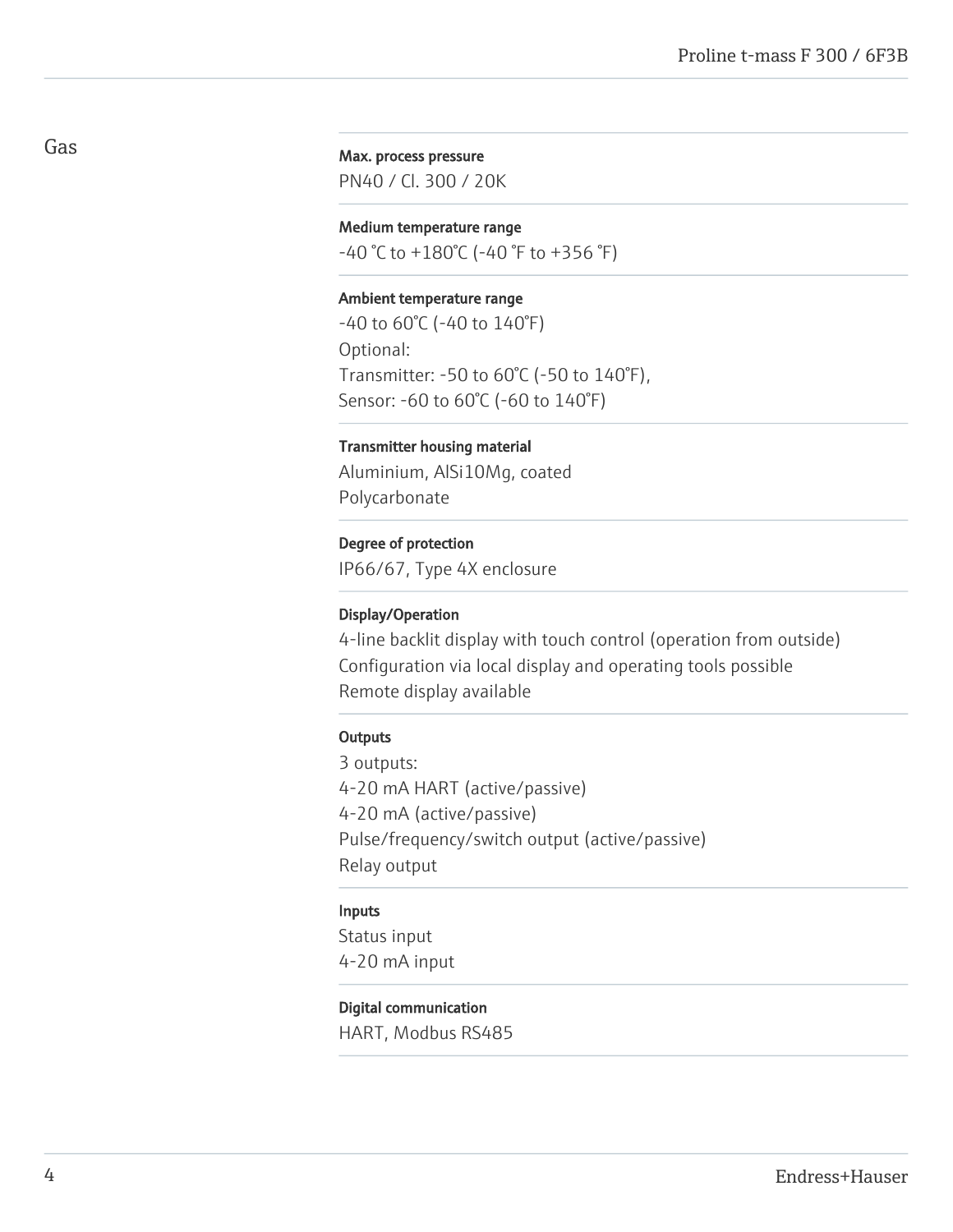# Max. process pressure

PN40 / Cl. 300 / 20K

# Medium temperature range

 $-40$  °C to  $+180$ °C (-40 °F to  $+356$  °F)

## Ambient temperature range

-40 to 60°C (-40 to 140°F) Optional: Transmitter: -50 to 60°C (-50 to 140°F), Sensor: -60 to 60°C (-60 to 140°F)

# Transmitter housing material

Aluminium, AlSi10Mg, coated Polycarbonate

# Degree of protection

IP66/67, Type 4X enclosure

### Display/Operation

4-line backlit display with touch control (operation from outside) Configuration via local display and operating tools possible Remote display available

# **Outputs**

3 outputs: 4-20 mA HART (active/passive) 4-20 mA (active/passive) Pulse/frequency/switch output (active/passive) Relay output

#### Inputs

Status input 4-20 mA input

# Digital communication

HART, Modbus RS485